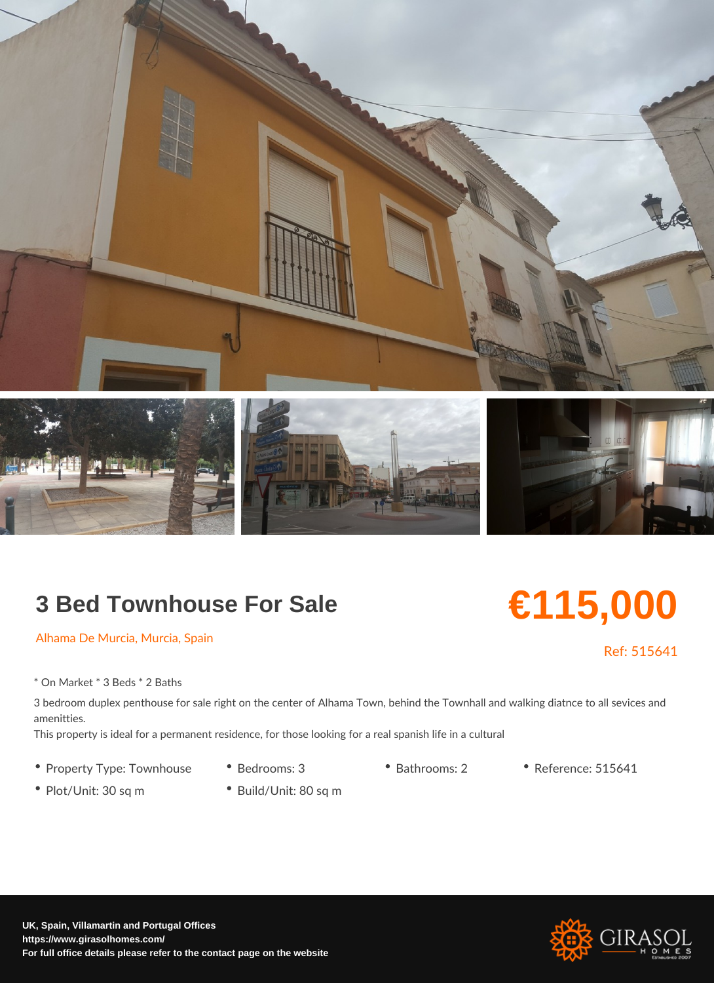## 3 Bed Townhouse For Sale

## €115,000

Ref: 51564

Alhama De Murcia, Murcia, Spain

\* On Market \* 3 Beds \* 2 Baths

3 bedroom duplex penthouse for sale right on the center of Alhama Town, behind the To amenitties. This property is ideal for a permanent residence, for those looking for a real spanish lif

- 
- Property Type: Town ho Buesderooms: 3 Bathrooms: 2 Reference: 515641
- Plot/Unit: 30 sq m Build/Unit: 80 sq m